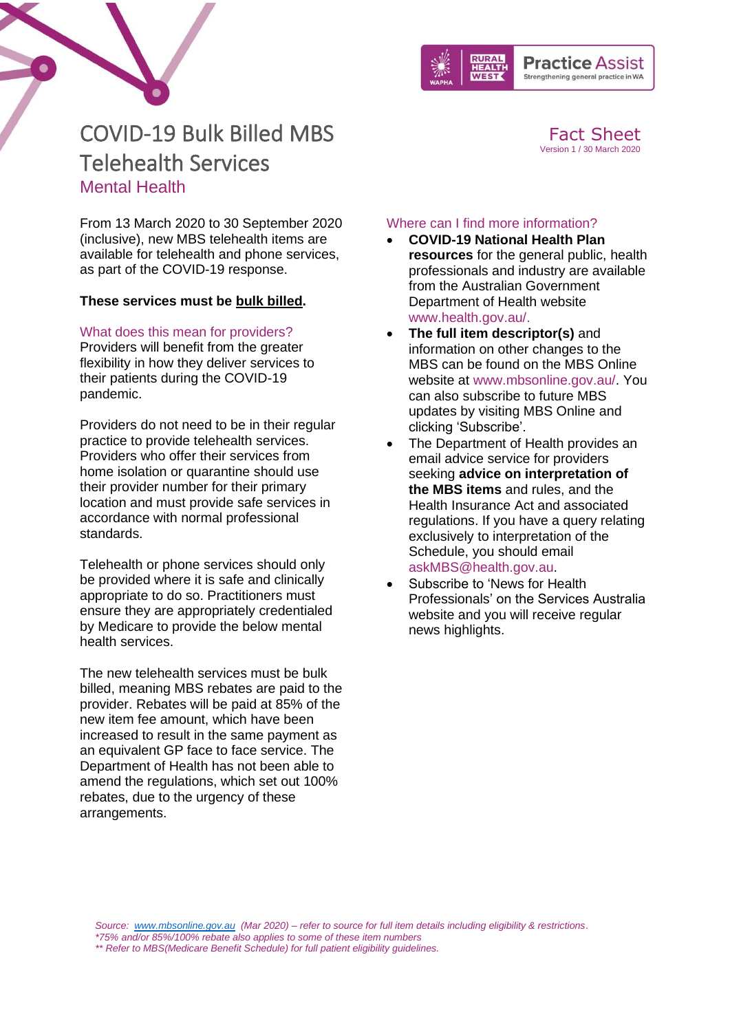

### Strengthening general practice in WA

Fact Sheet Version 1 / 30 March 2020

# COVID-19 Bulk Billed MBS Telehealth Services Mental Health

From 13 March 2020 to 30 September 2020 (inclusive), new MBS telehealth items are available for telehealth and phone services, as part of the COVID-19 response.

### **These services must be bulk billed.**

#### What does this mean for providers?

Providers will benefit from the greater flexibility in how they deliver services to their patients during the COVID-19 pandemic.

Providers do not need to be in their regular practice to provide telehealth services. Providers who offer their services from home isolation or quarantine should use their provider number for their primary location and must provide safe services in accordance with normal professional standards.

Telehealth or phone services should only be provided where it is safe and clinically appropriate to do so. Practitioners must ensure they are appropriately credentialed by Medicare to provide the below mental health services.

The new telehealth services must be bulk billed, meaning MBS rebates are paid to the provider. Rebates will be paid at 85% of the new item fee amount, which have been increased to result in the same payment as an equivalent GP face to face service. The Department of Health has not been able to amend the regulations, which set out 100% rebates, due to the urgency of these arrangements.

#### Where can I find more information?

- **COVID-19 National Health Plan resources** for the general public, health professionals and industry are available from the [Australian Government](https://www.health.gov.au/resources/collections/coronavirus-covid-19-national-health-plan-resources)  [Department of Health website](https://www.health.gov.au/resources/collections/coronavirus-covid-19-national-health-plan-resources) [www.health.gov.au/.](http://www.health.gov.au/)
- **The full item descriptor(s)** and information on other changes to the MBS can be found on the MBS Online website at [www.mbsonline.gov.au/.](http://www.mbsonline.gov.au/internet/mbsonline/publishing.nsf/Content/Home) You can also subscribe to future MBS updates by visiting [MBS Online](http://www.mbsonline.gov.au/) and clicking 'Subscribe'.
- The Department of Health provides an email advice service for providers seeking **advice on interpretation of the MBS items** and rules, and the Health Insurance Act and associated regulations. If you have a query relating exclusively to interpretation of the Schedule, you should email [askMBS@health.gov.au.](mailto:askMBS@health.gov.au)
- Subscribe to 'News for Health [Professionals'](https://www.humanservices.gov.au/organisations/health-professionals/news/all) on the Services Australia website and you will receive regular news highlights.

*Source: [www.mbsonline.gov.au](http://www.mbsonline.gov.au/) (Mar 2020) – refer to source for full item details including eligibility & restrictions*. *\*75% and/or 85%/100% rebate also applies to some of these item numbers*

*\*\* Refer to MBS(Medicare Benefit Schedule) for full patient eligibility guidelines.*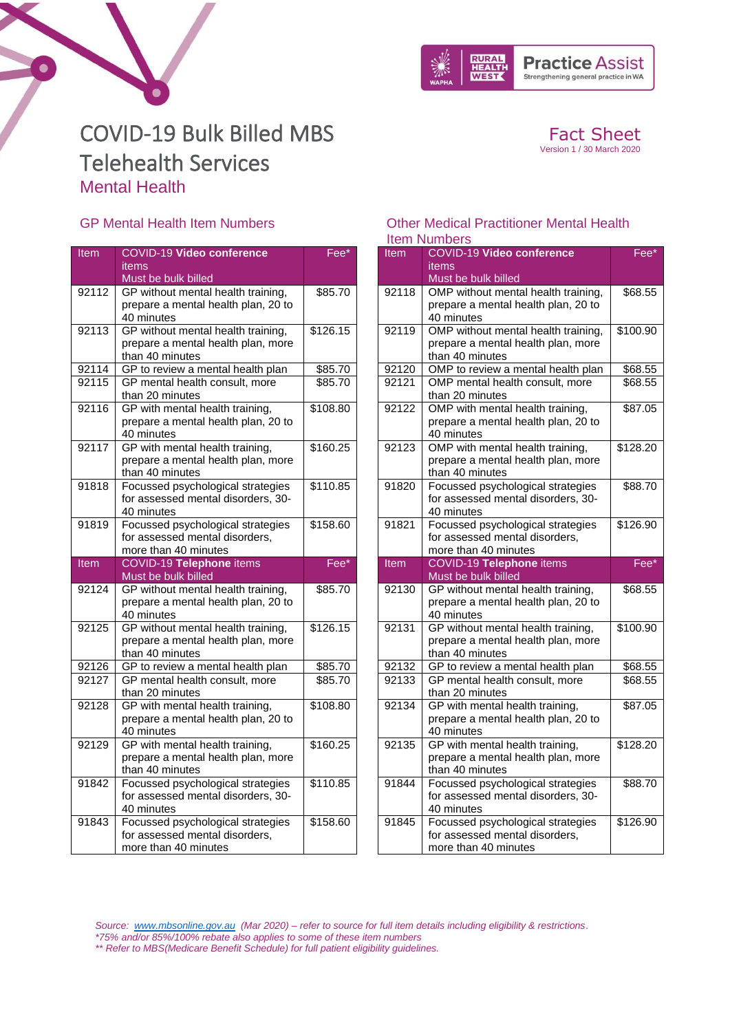

Fact Sheet Version 1 / 30 March 2020

# COVID-19 Bulk Billed MBS Telehealth Services Mental Health

### GP Mental Health Item Numbers

 $\bullet$ 

| Item           | <b>COVID-19 Video conference</b>                                       | Fee*               |
|----------------|------------------------------------------------------------------------|--------------------|
|                | <b>items</b>                                                           |                    |
|                | Must be bulk billed                                                    |                    |
| 92112          | GP without mental health training,                                     | \$85.70            |
|                | prepare a mental health plan, 20 to                                    |                    |
|                | 40 minutes                                                             |                    |
| 92113          | GP without mental health training,                                     | \$126.15           |
|                | prepare a mental health plan, more                                     |                    |
|                | than 40 minutes                                                        |                    |
| 92114<br>92115 | GP to review a mental health plan<br>GP mental health consult, more    | \$85.70<br>\$85.70 |
|                | than 20 minutes                                                        |                    |
| 92116          | GP with mental health training,                                        | \$108.80           |
|                | prepare a mental health plan, 20 to                                    |                    |
|                | 40 minutes                                                             |                    |
| 92117          | GP with mental health training,                                        | \$160.25           |
|                | prepare a mental health plan, more                                     |                    |
|                | than 40 minutes                                                        |                    |
| 91818          | Focussed psychological strategies                                      | \$110.85           |
|                | for assessed mental disorders, 30-                                     |                    |
|                | 40 minutes                                                             |                    |
| 91819          | Focussed psychological strategies                                      | \$158.60           |
|                | for assessed mental disorders,                                         |                    |
|                |                                                                        |                    |
|                | more than 40 minutes                                                   |                    |
| <b>Item</b>    | COVID-19 Telephone items                                               | Fee*               |
|                | Must be bulk billed                                                    |                    |
| 92124          | GP without mental health training,                                     | \$85.70            |
|                | prepare a mental health plan, 20 to                                    |                    |
|                | 40 minutes                                                             |                    |
| 92125          | GP without mental health training,                                     | \$126.15           |
|                | prepare a mental health plan, more                                     |                    |
|                | than 40 minutes                                                        |                    |
| 92126<br>92127 | GP to review a mental health plan                                      | \$85.70            |
|                | GP mental health consult, more<br>than 20 minutes                      | \$85.70            |
| 92128          |                                                                        | \$108.80           |
|                | GP with mental health training,<br>prepare a mental health plan, 20 to |                    |
|                | 40 minutes                                                             |                    |
| 92129          | GP with mental health training,                                        | \$160.25           |
|                | prepare a mental health plan, more                                     |                    |
|                | than 40 minutes                                                        |                    |
| 91842          | Focussed psychological strategies                                      | \$110.85           |
|                | for assessed mental disorders, 30-                                     |                    |
|                | 40 minutes                                                             |                    |
| 91843          | Focussed psychological strategies                                      | \$158.60           |
|                | for assessed mental disorders,<br>more than 40 minutes                 |                    |

#### Other Medical Practitioner Mental Health Item Numbers

| <b>Item</b>    | <b>COVID-19 Video conference</b>                                         | Fee*               |
|----------------|--------------------------------------------------------------------------|--------------------|
|                | items                                                                    |                    |
|                | Must be bulk billed                                                      |                    |
| 92118          | OMP without mental health training,                                      | \$68.55            |
|                | prepare a mental health plan, 20 to                                      |                    |
|                | 40 minutes                                                               |                    |
| 92119          | OMP without mental health training,                                      | \$100.90           |
|                | prepare a mental health plan, more                                       |                    |
|                | than 40 minutes                                                          |                    |
| 92120<br>92121 | OMP to review a mental health plan<br>OMP mental health consult, more    | \$68.55<br>\$68.55 |
|                | than 20 minutes                                                          |                    |
| 92122          | OMP with mental health training,                                         | \$87.05            |
|                | prepare a mental health plan, 20 to                                      |                    |
|                | 40 minutes                                                               |                    |
| 92123          | OMP with mental health training,                                         | \$128.20           |
|                | prepare a mental health plan, more                                       |                    |
|                | than 40 minutes                                                          |                    |
| 91820          | Focussed psychological strategies                                        | \$88.70            |
|                | for assessed mental disorders, 30-                                       |                    |
|                | 40 minutes                                                               |                    |
| 91821          | Focussed psychological strategies                                        | \$126.90           |
|                | for assessed mental disorders,                                           |                    |
|                | more than 40 minutes                                                     |                    |
|                |                                                                          |                    |
| <b>Item</b>    | COVID-19 Telephone items                                                 | Fee*               |
|                | Must be bulk billed                                                      |                    |
| 92130          | GP without mental health training,                                       | \$68.55            |
|                | prepare a mental health plan, 20 to                                      |                    |
| 92131          | 40 minutes                                                               | \$100.90           |
|                | GP without mental health training,<br>prepare a mental health plan, more |                    |
|                | than 40 minutes                                                          |                    |
| 92132          | GP to review a mental health plan                                        | \$68.55            |
| 92133          | GP mental health consult, more                                           | \$68.55            |
|                | than 20 minutes                                                          |                    |
| 92134          | GP with mental health training,                                          | \$87.05            |
|                | prepare a mental health plan, 20 to                                      |                    |
|                | 40 minutes                                                               |                    |
| 92135          | GP with mental health training,                                          | \$128.20           |
|                | prepare a mental health plan, more                                       |                    |
|                | than 40 minutes                                                          |                    |
| 91844          | Focussed psychological strategies                                        | \$88.70            |
|                | for assessed mental disorders, 30-                                       |                    |
|                | 40 minutes                                                               |                    |
| 91845          | Focussed psychological strategies<br>for assessed mental disorders,      | \$126.90           |

*Source: [www.mbsonline.gov.au](http://www.mbsonline.gov.au/) (Mar 2020) – refer to source for full item details including eligibility & restrictions*.

*\*75% and/or 85%/100% rebate also applies to some of these item numbers*

*\*\* Refer to MBS(Medicare Benefit Schedule) for full patient eligibility guidelines.*